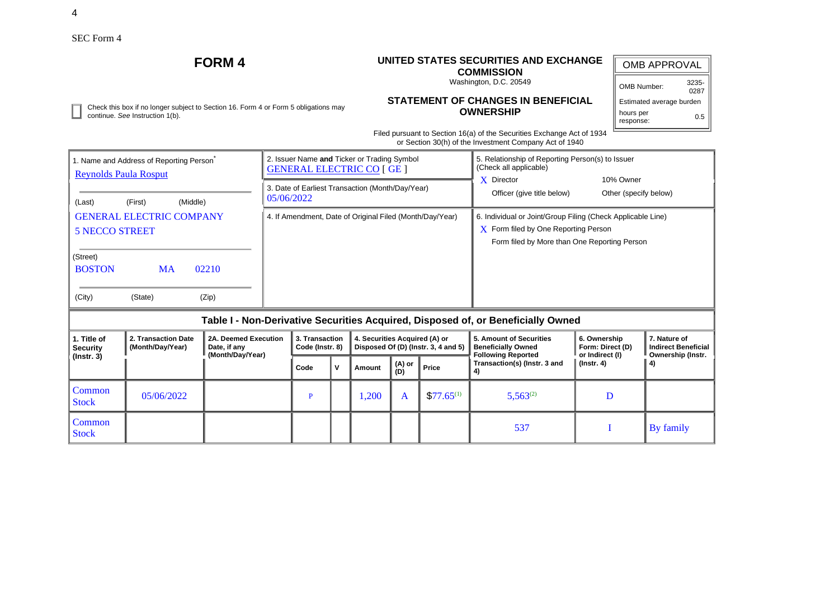# **FORM 4 UNITED STATES SECURITIES AND EXCHANGE**

# **COMMISSION**

Washington, D.C. 20549

| OMB APPROVAL             |               |  |  |  |  |  |  |  |  |
|--------------------------|---------------|--|--|--|--|--|--|--|--|
| OMB Number:              | 3235-<br>0287 |  |  |  |  |  |  |  |  |
| Estimated average burden |               |  |  |  |  |  |  |  |  |
| hours per<br>response:   | 0.5           |  |  |  |  |  |  |  |  |

Check this box if no longer subject to Section 16. Form 4 or Form 5 obligations may continue. *See* Instruction 1(b).

# **STATEMENT OF CHANGES IN BENEFICIAL OWNERSHIP**

Filed pursuant to Section 16(a) of the Securities Exchange Act of 1934 or Section 30(h) of the Investment Company Act of 1940

| 1. Name and Address of Reporting Person<br><b>Reynolds Paula Rosput</b> |                                         |                                                          |  |                                   | 2. Issuer Name and Ticker or Trading Symbol<br><b>GENERAL ELECTRIC CO [ GE ]</b> |                                                                      |               | 5. Relationship of Reporting Person(s) to Issuer<br>(Check all applicable) |                                                                                                                                                            |                                                     |                                                                 |  |  |
|-------------------------------------------------------------------------|-----------------------------------------|----------------------------------------------------------|--|-----------------------------------|----------------------------------------------------------------------------------|----------------------------------------------------------------------|---------------|----------------------------------------------------------------------------|------------------------------------------------------------------------------------------------------------------------------------------------------------|-----------------------------------------------------|-----------------------------------------------------------------|--|--|
| (Middle)<br>(First)<br>(Last)                                           |                                         |                                                          |  | 05/06/2022                        |                                                                                  | 3. Date of Earliest Transaction (Month/Day/Year)                     |               |                                                                            | $X$ Director<br>Officer (give title below)                                                                                                                 | 10% Owner<br>Other (specify below)                  |                                                                 |  |  |
| <b>GENERAL ELECTRIC COMPANY</b><br><b>5 NECCO STREET</b>                |                                         |                                                          |  |                                   |                                                                                  | 4. If Amendment, Date of Original Filed (Month/Day/Year)             |               |                                                                            | 6. Individual or Joint/Group Filing (Check Applicable Line)<br>$\bf{X}$ Form filed by One Reporting Person<br>Form filed by More than One Reporting Person |                                                     |                                                                 |  |  |
| (Street)<br><b>BOSTON</b><br>(City)                                     | <b>MA</b><br>(State)                    | 02210<br>(Zip)                                           |  |                                   |                                                                                  |                                                                      |               |                                                                            |                                                                                                                                                            |                                                     |                                                                 |  |  |
|                                                                         |                                         |                                                          |  |                                   |                                                                                  |                                                                      |               |                                                                            | Table I - Non-Derivative Securities Acquired, Disposed of, or Beneficially Owned                                                                           |                                                     |                                                                 |  |  |
| 1. Title of<br><b>Security</b>                                          | 2. Transaction Date<br>(Month/Day/Year) | 2A. Deemed Execution<br>Date, if any<br>(Month/Day/Year) |  | 3. Transaction<br>Code (Instr. 8) |                                                                                  | 4. Securities Acquired (A) or<br>Disposed Of (D) (Instr. 3, 4 and 5) |               |                                                                            | 5. Amount of Securities<br><b>Beneficially Owned</b><br><b>Following Reported</b>                                                                          | 6. Ownership<br>Form: Direct (D)<br>or Indirect (I) | 7. Nature of<br><b>Indirect Beneficial</b><br>Ownership (Instr. |  |  |
| $($ lnstr. 3 $)$                                                        |                                         |                                                          |  | Code                              | V                                                                                | Amount                                                               | (A) or<br>(D) | Price                                                                      | Transaction(s) (Instr. 3 and<br>4)                                                                                                                         | $($ lnstr. 4 $)$                                    | 4)                                                              |  |  |
| Common<br><b>Stock</b>                                                  | 05/06/2022                              |                                                          |  | P                                 |                                                                                  | 1,200                                                                | A             | $$77.65^{(1)}$                                                             | $5,563^{(2)}$                                                                                                                                              | D                                                   |                                                                 |  |  |
| Common<br><b>Stock</b>                                                  |                                         |                                                          |  |                                   |                                                                                  |                                                                      |               |                                                                            | 537                                                                                                                                                        |                                                     | By family                                                       |  |  |